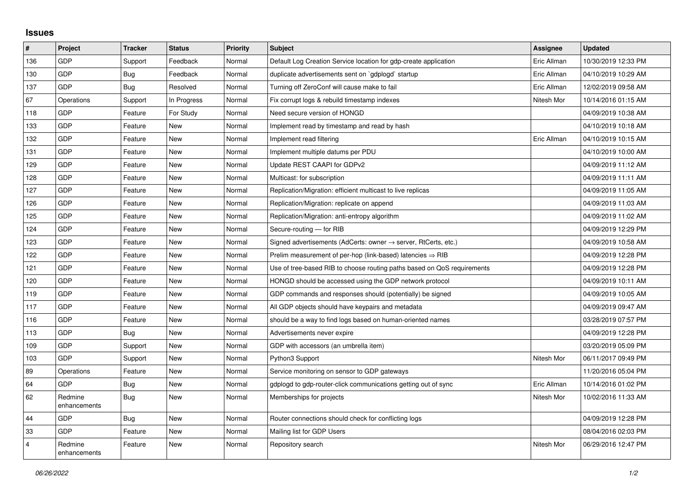## **Issues**

| $\sharp$       | Project                 | <b>Tracker</b> | <b>Status</b> | <b>Priority</b> | <b>Subject</b>                                                          | Assignee    | <b>Updated</b>      |
|----------------|-------------------------|----------------|---------------|-----------------|-------------------------------------------------------------------------|-------------|---------------------|
| 136            | <b>GDP</b>              | Support        | Feedback      | Normal          | Default Log Creation Service location for gdp-create application        | Eric Allman | 10/30/2019 12:33 PM |
| 130            | <b>GDP</b>              | Bug            | Feedback      | Normal          | duplicate advertisements sent on `gdplogd` startup                      | Eric Allman | 04/10/2019 10:29 AM |
| 137            | <b>GDP</b>              | Bug            | Resolved      | Normal          | Turning off ZeroConf will cause make to fail                            | Eric Allman | 12/02/2019 09:58 AM |
| 67             | Operations              | Support        | In Progress   | Normal          | Fix corrupt logs & rebuild timestamp indexes                            | Nitesh Mor  | 10/14/2016 01:15 AM |
| 118            | <b>GDP</b>              | Feature        | For Study     | Normal          | Need secure version of HONGD                                            |             | 04/09/2019 10:38 AM |
| 133            | <b>GDP</b>              | Feature        | <b>New</b>    | Normal          | Implement read by timestamp and read by hash                            |             | 04/10/2019 10:18 AM |
| 132            | <b>GDP</b>              | Feature        | <b>New</b>    | Normal          | Implement read filtering                                                | Eric Allman | 04/10/2019 10:15 AM |
| 131            | <b>GDP</b>              | Feature        | <b>New</b>    | Normal          | Implement multiple datums per PDU                                       |             | 04/10/2019 10:00 AM |
| 129            | <b>GDP</b>              | Feature        | <b>New</b>    | Normal          | Update REST CAAPI for GDPv2                                             |             | 04/09/2019 11:12 AM |
| 128            | <b>GDP</b>              | Feature        | <b>New</b>    | Normal          | Multicast: for subscription                                             |             | 04/09/2019 11:11 AM |
| 127            | <b>GDP</b>              | Feature        | New           | Normal          | Replication/Migration: efficient multicast to live replicas             |             | 04/09/2019 11:05 AM |
| 126            | <b>GDP</b>              | Feature        | <b>New</b>    | Normal          | Replication/Migration: replicate on append                              |             | 04/09/2019 11:03 AM |
| 125            | <b>GDP</b>              | Feature        | <b>New</b>    | Normal          | Replication/Migration: anti-entropy algorithm                           |             | 04/09/2019 11:02 AM |
| 124            | <b>GDP</b>              | Feature        | <b>New</b>    | Normal          | Secure-routing - for RIB                                                |             | 04/09/2019 12:29 PM |
| 123            | <b>GDP</b>              | Feature        | <b>New</b>    | Normal          | Signed advertisements (AdCerts: owner → server, RtCerts, etc.)          |             | 04/09/2019 10:58 AM |
| 122            | <b>GDP</b>              | Feature        | <b>New</b>    | Normal          | Prelim measurement of per-hop (link-based) latencies $\Rightarrow$ RIB  |             | 04/09/2019 12:28 PM |
| 121            | <b>GDP</b>              | Feature        | New           | Normal          | Use of tree-based RIB to choose routing paths based on QoS requirements |             | 04/09/2019 12:28 PM |
| 120            | <b>GDP</b>              | Feature        | <b>New</b>    | Normal          | HONGD should be accessed using the GDP network protocol                 |             | 04/09/2019 10:11 AM |
| 119            | <b>GDP</b>              | Feature        | <b>New</b>    | Normal          | GDP commands and responses should (potentially) be signed               |             | 04/09/2019 10:05 AM |
| 117            | <b>GDP</b>              | Feature        | <b>New</b>    | Normal          | All GDP objects should have keypairs and metadata                       |             | 04/09/2019 09:47 AM |
| 116            | GDP                     | Feature        | <b>New</b>    | Normal          | should be a way to find logs based on human-oriented names              |             | 03/28/2019 07:57 PM |
| 113            | <b>GDP</b>              | Bug            | <b>New</b>    | Normal          | Advertisements never expire                                             |             | 04/09/2019 12:28 PM |
| 109            | <b>GDP</b>              | Support        | <b>New</b>    | Normal          | GDP with accessors (an umbrella item)                                   |             | 03/20/2019 05:09 PM |
| 103            | <b>GDP</b>              | Support        | <b>New</b>    | Normal          | Python3 Support                                                         | Nitesh Mor  | 06/11/2017 09:49 PM |
| 89             | Operations              | Feature        | <b>New</b>    | Normal          | Service monitoring on sensor to GDP gateways                            |             | 11/20/2016 05:04 PM |
| 64             | <b>GDP</b>              | Bug            | <b>New</b>    | Normal          | gdplogd to gdp-router-click communications getting out of sync          | Eric Allman | 10/14/2016 01:02 PM |
| 62             | Redmine<br>enhancements | Bug            | <b>New</b>    | Normal          | Memberships for projects                                                | Nitesh Mor  | 10/02/2016 11:33 AM |
| 44             | <b>GDP</b>              | Bug            | <b>New</b>    | Normal          | Router connections should check for conflicting logs                    |             | 04/09/2019 12:28 PM |
| 33             | <b>GDP</b>              | Feature        | <b>New</b>    | Normal          | Mailing list for GDP Users                                              |             | 08/04/2016 02:03 PM |
| $\overline{4}$ | Redmine<br>enhancements | Feature        | <b>New</b>    | Normal          | Repository search                                                       | Nitesh Mor  | 06/29/2016 12:47 PM |